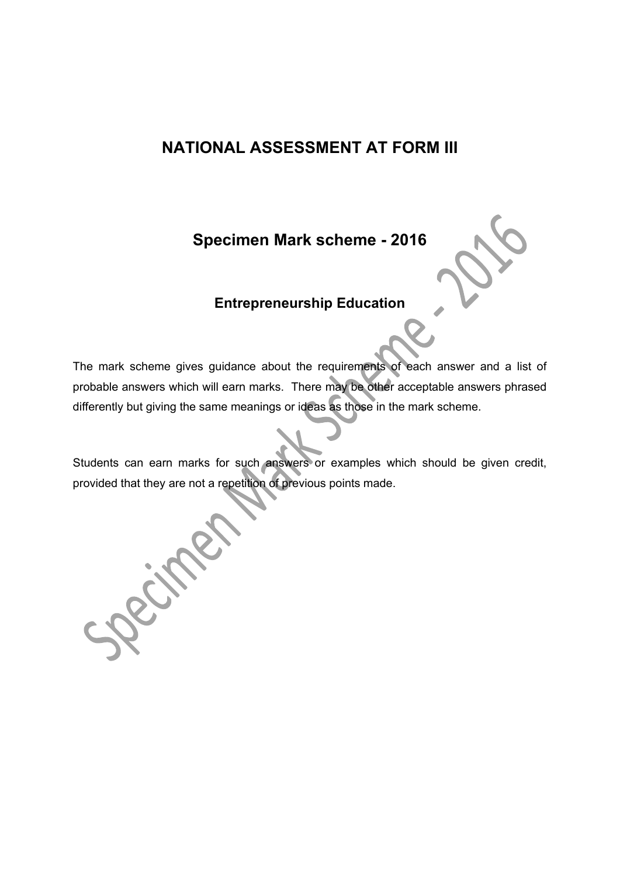# **NATIONAL ASSESSMENT AT FORM III**

**Specimen Mark scheme - 2016** 

# **Entrepreneurship Education**

The mark scheme gives guidance about the requirements of each answer and a list of probable answers which will earn marks. There may be other acceptable answers phrased differently but giving the same meanings or ideas as those in the mark scheme.

Students can earn marks for such answers or examples which should be given credit, provided that they are not a repetition of previous points made.

Scim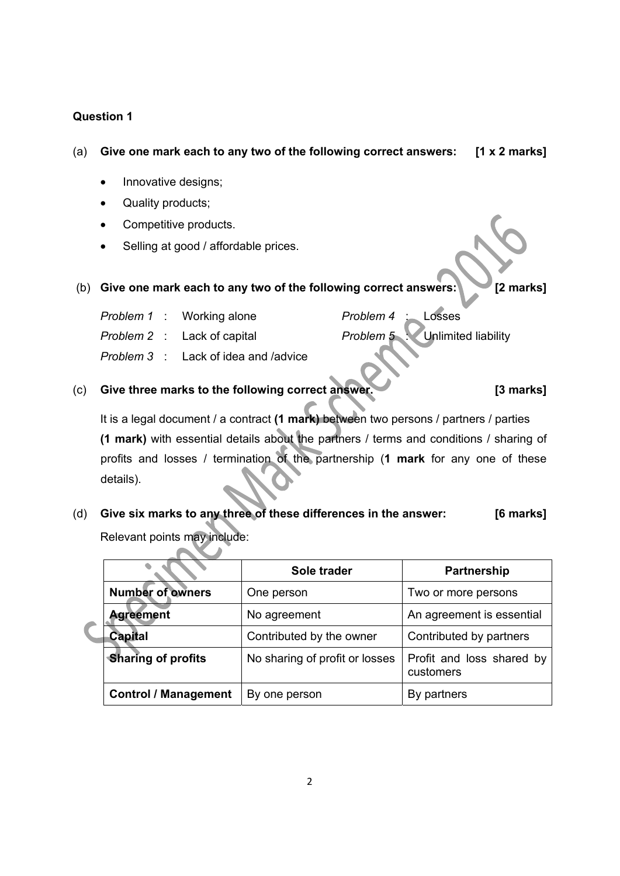## **Question 1**

# (a) **Give one mark each to any two of the following correct answers: [1 x 2 marks]**

- Innovative designs;
- Quality products;
- Competitive products.
- Selling at good / affordable prices.

## (b) **Give one mark each to any two of the following correct answers: [2 marks]**

 *Problem 1* : Working alone  *Problem 2* : Lack of capital  *Problem 3* : Lack of idea and /advice  *Problem 4* : Losses

*Problem 5* Unlimited liability

(c) **Give three marks to the following correct answer. [3 marks]**

It is a legal document / a contract **(1 mark)** between two persons / partners / parties  **(1 mark)** with essential details about the partners / terms and conditions / sharing of profits and losses / termination of the partnership (**1 mark** for any one of these details).

(d) **Give six marks to any three of these differences in the answer: [6 marks]**  Relevant points may include:

|                             | Sole trader                    | <b>Partnership</b>                     |  |  |
|-----------------------------|--------------------------------|----------------------------------------|--|--|
| <b>Number of owners</b>     | One person                     | Two or more persons                    |  |  |
| <b>Agreement</b>            | No agreement                   | An agreement is essential              |  |  |
| <b>Capital</b>              | Contributed by the owner       | Contributed by partners                |  |  |
| <b>Sharing of profits</b>   | No sharing of profit or losses | Profit and loss shared by<br>customers |  |  |
| <b>Control / Management</b> | By one person                  | By partners                            |  |  |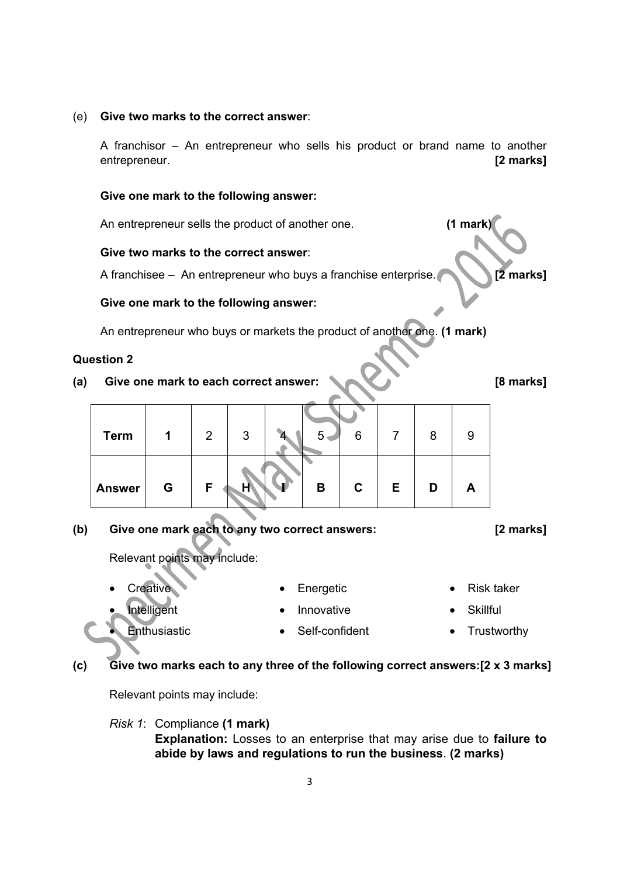#### (e) **Give two marks to the correct answer**:

A franchisor – An entrepreneur who sells his product or brand name to another entrepreneur. **[2 marks]**

## **Give one mark to the following answer:**

An entrepreneur sells the product of another one. **(1 mark)**

#### **Give two marks to the correct answer**:

A franchisee – An entrepreneur who buys a franchise enterprise. **[2 marks]** 

#### **Give one mark to the following answer:**

An entrepreneur who buys or markets the product of another one. **(1 mark)**

#### **Question 2**

(a) Give one mark to each correct answer:  $\bigotimes_{\alpha}$  **[8 marks]** 

| <b>Term</b>   | 1 | $\overline{2}$ | 3 | 5 | 6            |   |   | 9 |
|---------------|---|----------------|---|---|--------------|---|---|---|
| <b>Answer</b> | G | F.             |   | B | $\mathbf{C}$ | Е | D | A |

**(b) Give one mark each to any two correct answers: [2 marks]** 

Relevant points may include:

**Creative** 

Intelligent

**Enthusiastic** 

- Energetic
- Innovative
- Self-confident
- Risk taker
- **Skillful**
- **Trustworthy**

# **(c) Give two marks each to any three of the following correct answers:[2 x 3 marks]**

Relevant points may include:

*Risk 1*: Compliance **(1 mark) Explanation:** Losses to an enterprise that may arise due to **failure to abide by laws and regulations to run the business**. **(2 marks)**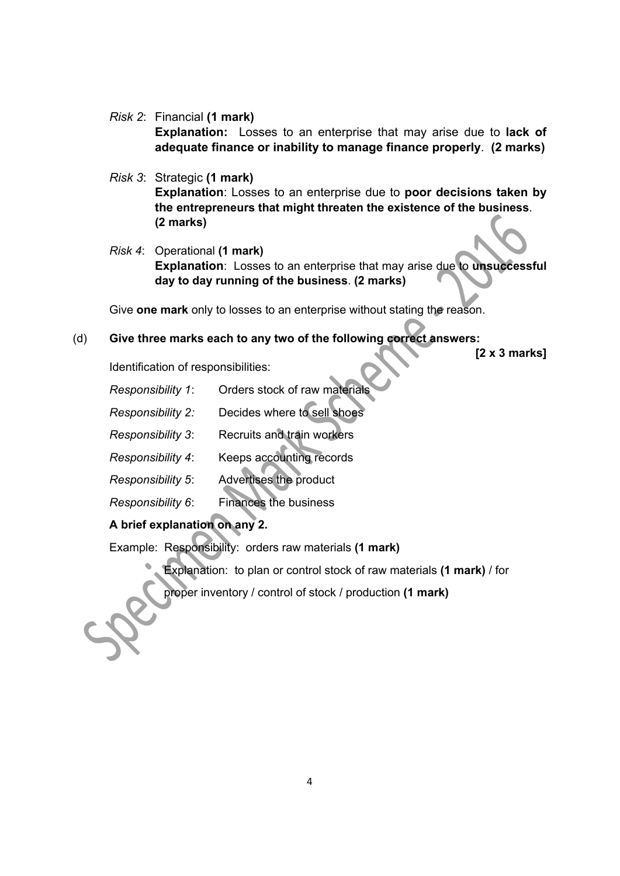*Risk 2*: Financial **(1 mark)**

**Explanation:** Losses to an enterprise that may arise due to **lack of adequate finance or inability to manage finance properly**. **(2 marks)**

- *Risk 3*: Strategic **(1 mark) Explanation**: Losses to an enterprise due to **poor decisions taken by the entrepreneurs that might threaten the existence of the business**. **(2 marks)**
- *Risk 4*: Operational **(1 mark) Explanation**: Losses to an enterprise that may arise due to **unsuccessful day to day running of the business**. **(2 marks)**

Give **one mark** only to losses to an enterprise without stating the reason.

# (d) **Give three marks each to any two of the following correct answers:**

**[2 x 3 marks]** 

Identification of responsibilities:

- *Responsibility 1*: Orders stock of raw materials
- *Responsibility 2:* Decides where to sell shoes
- *Responsibility 3* : Recruits and train workers
- *Responsibility 4:* Keeps accounting records
- *Responsibility 5* : Advertises the product
- *Responsibility 6:* Finances the business

# **A brief explanation on any 2.**

Example: Responsibility: orders raw materials **(1 mark)**

Explanation: to plan or control stock of raw materials **(1 mark)** / for

proper inventory / control of stock / production **(1 mark)**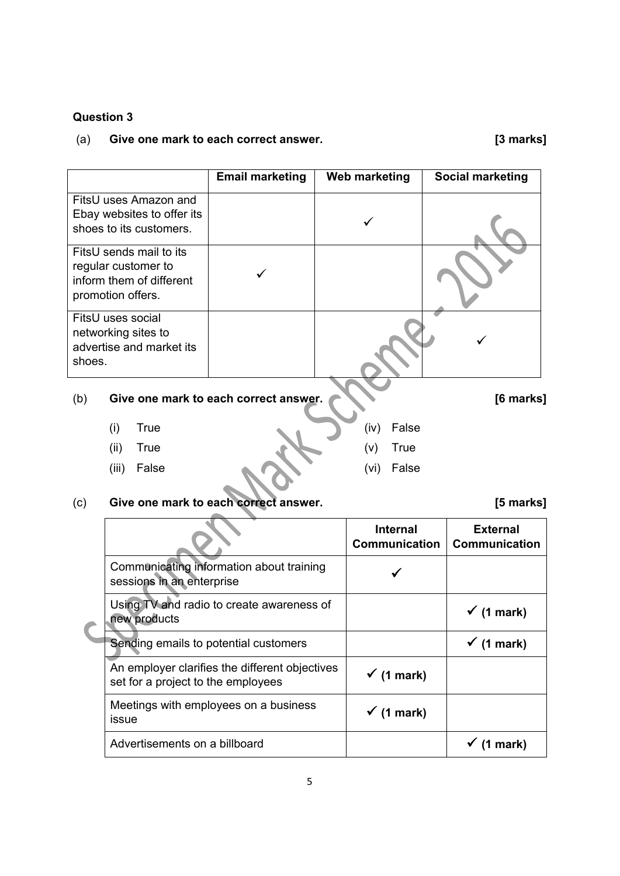# **Question 3**

# (a) **Give one mark to each correct answer. [3 marks]**

|                                                                                                 | <b>Email marketing</b> | Web marketing | <b>Social marketing</b> |
|-------------------------------------------------------------------------------------------------|------------------------|---------------|-------------------------|
| FitsU uses Amazon and<br>Ebay websites to offer its<br>shoes to its customers.                  |                        |               |                         |
| FitsU sends mail to its<br>regular customer to<br>inform them of different<br>promotion offers. |                        |               |                         |
| FitsU uses social<br>networking sites to<br>advertise and market its<br>shoes.                  |                        |               |                         |

# (b) **Give one mark to each correct answer. [6 marks]**

- (i) True
- (ii) True (v) True
- (iii) False

# (c) **Give one mark to each correct answer. [5 marks]**

|         |  | <b>Internal</b> |  |
|---------|--|-----------------|--|
| answer. |  |                 |  |
|         |  | (vi) False      |  |

(iv) False

|                                                                                      | <b>Internal</b><br><b>Communication</b> | <b>External</b><br><b>Communication</b> |
|--------------------------------------------------------------------------------------|-----------------------------------------|-----------------------------------------|
| Communicating information about training<br>sessions in an enterprise                |                                         |                                         |
| Using TV and radio to create awareness of<br>new products                            |                                         | $\checkmark$ (1 mark)                   |
| Sending emails to potential customers                                                |                                         | $\checkmark$ (1 mark)                   |
| An employer clarifies the different objectives<br>set for a project to the employees | $\checkmark$ (1 mark)                   |                                         |
| Meetings with employees on a business<br>issue                                       | $\checkmark$ (1 mark)                   |                                         |
| Advertisements on a billboard                                                        |                                         | mark)                                   |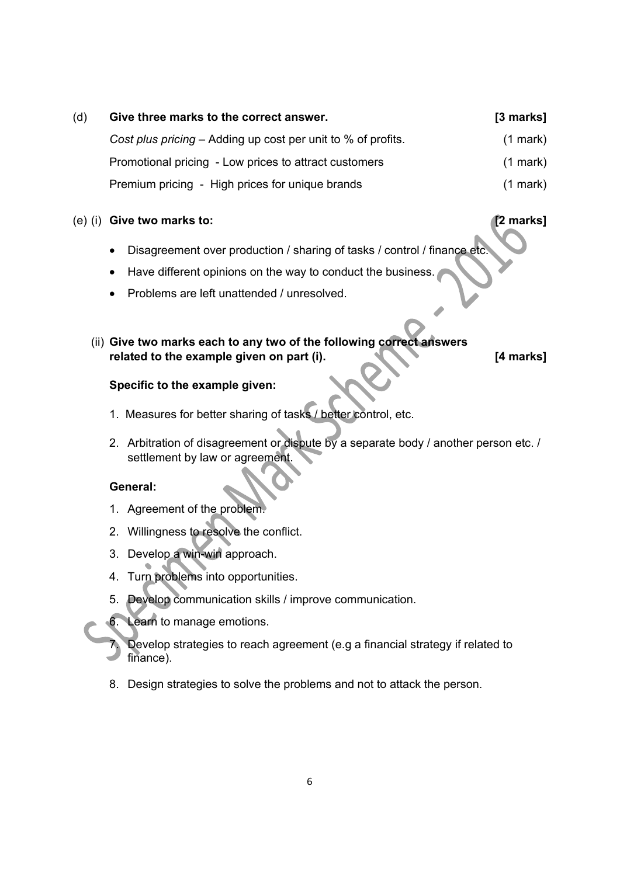| (d) | Give three marks to the correct answer.                      | $[3$ marks]   |
|-----|--------------------------------------------------------------|---------------|
|     | Cost plus pricing – Adding up cost per unit to % of profits. | $(1$ mark)    |
|     | Promotional pricing - Low prices to attract customers        | $(1$ mark)    |
|     | Premium pricing - High prices for unique brands              | $(1$ mark $)$ |

## (e) (i) **Give two marks to: [2 marks]**

- Disagreement over production / sharing of tasks / control / finance etc.
- Have different opinions on the way to conduct the business.
- Problems are left unattended / unresolved.
- (ii) **Give two marks each to any two of the following correct answers related to the example given on part (i). [4 marks]**

## **Specific to the example given:**

- 1. Measures for better sharing of tasks / better control, etc.
- 2. Arbitration of disagreement or dispute by a separate body / another person etc. / settlement by law or agreement.

## **General:**

- 1. Agreement of the problem.
- 2. Willingness to resolve the conflict.
- 3. Develop a win-win approach.
- 4. Turn problems into opportunities.
- 5. Develop communication skills / improve communication.
- 6. Learn to manage emotions.
	- Develop strategies to reach agreement (e.g a financial strategy if related to finance).
	- 8. Design strategies to solve the problems and not to attack the person.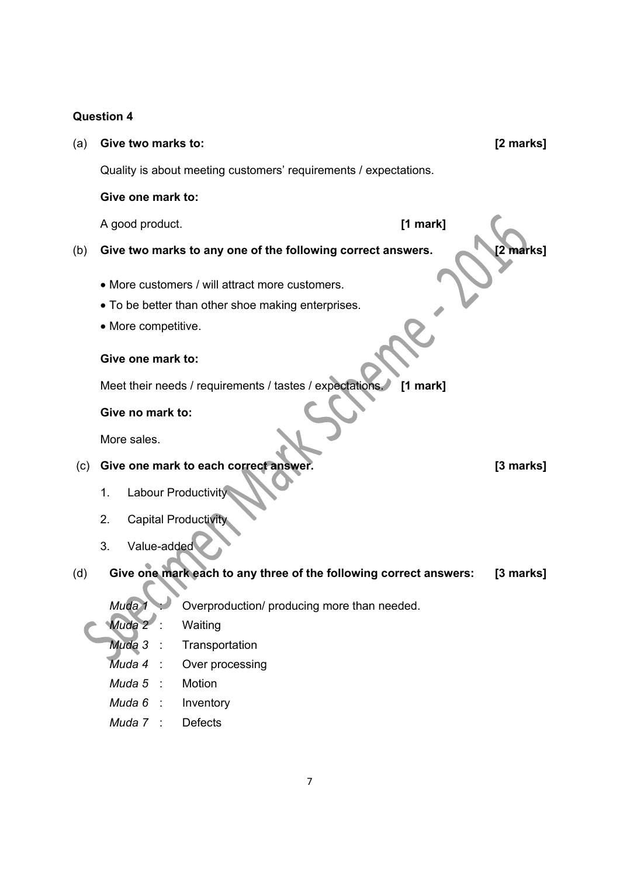# **Question 4**

| (a) | Give two marks to:                                                    |                                                                   | [2 marks] |  |  |  |
|-----|-----------------------------------------------------------------------|-------------------------------------------------------------------|-----------|--|--|--|
|     |                                                                       | Quality is about meeting customers' requirements / expectations.  |           |  |  |  |
|     | Give one mark to:                                                     |                                                                   |           |  |  |  |
|     | A good product.                                                       |                                                                   | [1 mark]  |  |  |  |
| (b) |                                                                       | Give two marks to any one of the following correct answers.       | 2 marks1  |  |  |  |
|     |                                                                       | • More customers / will attract more customers.                   |           |  |  |  |
|     |                                                                       | • To be better than other shoe making enterprises.                |           |  |  |  |
|     | • More competitive.                                                   |                                                                   |           |  |  |  |
|     |                                                                       |                                                                   |           |  |  |  |
|     | Give one mark to:                                                     |                                                                   |           |  |  |  |
|     | Meet their needs / requirements / tastes / expectations<br>$[1$ mark] |                                                                   |           |  |  |  |
|     | Give no mark to:                                                      |                                                                   |           |  |  |  |
|     | More sales.                                                           |                                                                   |           |  |  |  |
| (c) |                                                                       | Give one mark to each correct answer.                             | [3 marks] |  |  |  |
|     | 1.                                                                    | <b>Labour Productivity</b>                                        |           |  |  |  |
|     | 2.                                                                    | <b>Capital Productivity</b>                                       |           |  |  |  |
|     | Value-added<br>3.                                                     |                                                                   |           |  |  |  |
|     |                                                                       |                                                                   |           |  |  |  |
| (d) |                                                                       | Give one mark each to any three of the following correct answers: | [3 marks] |  |  |  |
|     | Muda 1                                                                | Overproduction/ producing more than needed.                       |           |  |  |  |
|     | Muda 2 :                                                              | Waiting                                                           |           |  |  |  |
|     | Muda 3<br>÷                                                           | Transportation                                                    |           |  |  |  |
|     | Muda 4                                                                | Over processing                                                   |           |  |  |  |
|     | Muda 5<br>$\mathbb{R}^2$                                              | Motion                                                            |           |  |  |  |
|     | Muda 6<br>$\frac{1}{2}$                                               | Inventory                                                         |           |  |  |  |
|     | Muda 7 :                                                              | <b>Defects</b>                                                    |           |  |  |  |
|     |                                                                       |                                                                   |           |  |  |  |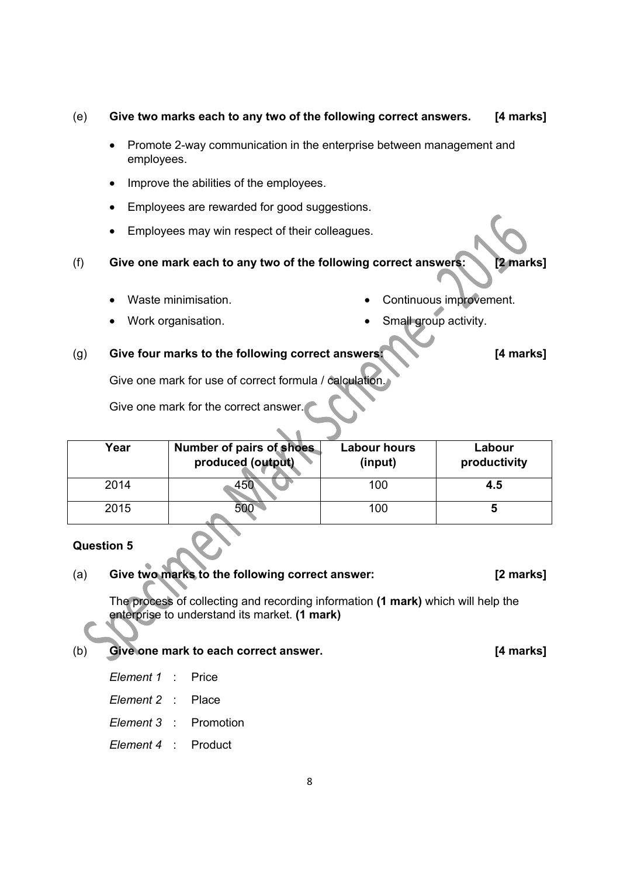#### (e) **Give two marks each to any two of the following correct answers. [4 marks]**

- Promote 2-way communication in the enterprise between management and employees.
- Improve the abilities of the employees.
- Employees are rewarded for good suggestions.
- Employees may win respect of their colleagues.
- (f) **Give one mark each to any two of the following correct answers: [2 marks]** 
	- Waste minimisation.

Continuous improvement.

Work organisation.

Small group activity.

## (g) **Give four marks to the following correct answers: [4 marks]**

Give one mark for use of correct formula / calculation.

Give one mark for the correct answer.

| Year | <b>Number of pairs of shoes</b><br>produced (output) | <b>Labour hours</b><br>(input) | Labour<br>productivity |
|------|------------------------------------------------------|--------------------------------|------------------------|
| 2014 |                                                      | 100                            | 4.5                    |
| 2015 |                                                      | 100                            | O                      |

## **Question 5**

# (a) **Give two marks to the following correct answer: [2 marks]**

The process of collecting and recording information **(1 mark)** which will help the enterprise to understand its market. **(1 mark)**

# (b) **Give one mark to each correct answer. [4 marks]**

- *Element 1* : Price
- *Element 2* : Place
- *Element 3* : Promotion
- *Element 4* : Product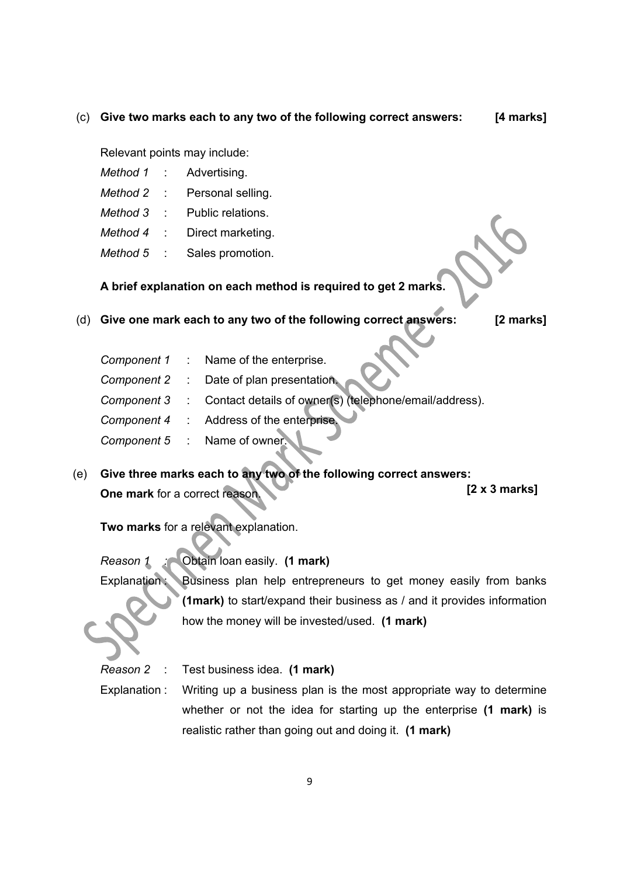#### (c) **Give two marks each to any two of the following correct answers: [4 marks]**

Relevant points may include:

- *Method 1* : Advertising.
- *Method 2* : Personal selling.
- *Method 3* : Public relations.
- *Method 4* : Direct marketing.
- *Method 5* : Sales promotion.

 **A brief explanation on each method is required to get 2 marks.** 

# (d) **Give one mark each to any two of the following correct answers: [2 marks]**

|  | Component 1 : Name of the enterprise.                                |
|--|----------------------------------------------------------------------|
|  | Component 2 : Date of plan presentation.                             |
|  | Component 3 : Contact details of owner(s) (telephone/email/address). |
|  | Component 4 : Address of the enterprise.                             |
|  | Component 5 : Name of owner.                                         |

(e) **Give three marks each to any two of the following correct answers: One mark** for a correct reason. **[2 x 3 marks]**

**Two marks** for a relevant explanation.

*Reason 1 :* Obtain loan easily. **(1 mark)**

Explanation: Business plan help entrepreneurs to get money easily from banks **(1mark)** to start/expand their business as / and it provides information how the money will be invested/used. **(1 mark)**

*Reason 2* : Test business idea. **(1 mark)**

Explanation : Writing up a business plan is the most appropriate way to determine whether or not the idea for starting up the enterprise **(1 mark)** is realistic rather than going out and doing it. **(1 mark)**